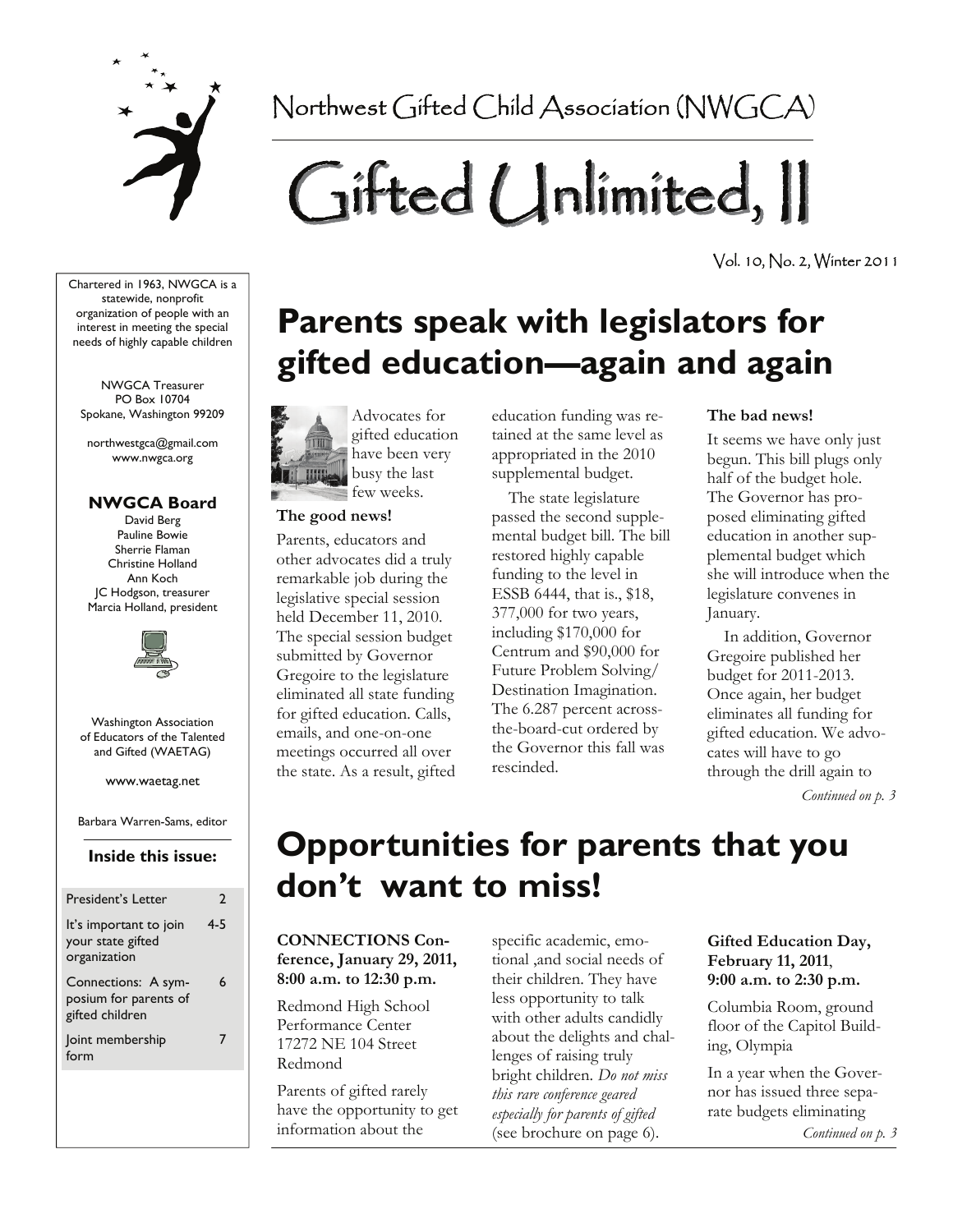

Northwest Gifted Child Association (NWGCA)

# Gifted Unlimited, II

Vol. 10, No. 2, Winter 2011

Chartered in 1963, NWGCA is a statewide, nonprofit organization of people with an interest in meeting the special needs of highly capable children

NWGCA Treasurer PO Box 10704 Spokane, Washington 99209

northwestgca@gmail.com www.nwgca.org

#### **NWGCA Board**

David Berg Pauline Bowie Sherrie Flaman Christine Holland Ann Koch JC Hodgson, treasurer Marcia Holland, president



Washington Association of Educators of the Talented and Gifted (WAETAG)

www.waetag.net

Barbara Warren-Sams, editor

#### **Inside this issue:**

| President's Letter                                              | 2       |
|-----------------------------------------------------------------|---------|
| It's important to join<br>your state gifted<br>organization     | $4 - 5$ |
| Connections: A sym-<br>posium for parents of<br>gifted children | 6       |
| Joint membership<br>form                                        |         |
|                                                                 |         |

## **Parents speak with legislators for gifted education—again and again**



gifted education have been very busy the last

#### **The good news!**

Parents, educators and other advocates did a truly remarkable job during the legislative special session held December 11, 2010. The special session budget submitted by Governor Gregoire to the legislature eliminated all state funding for gifted education. Calls, emails, and one-on-one meetings occurred all over the state. As a result, gifted education funding was retained at the same level as appropriated in the 2010 supplemental budget.

 The state legislature passed the second supplemental budget bill. The bill restored highly capable funding to the level in ESSB 6444, that is., \$18, 377,000 for two years, including \$170,000 for Centrum and \$90,000 for Future Problem Solving/ Destination Imagination. The 6.287 percent acrossthe-board-cut ordered by the Governor this fall was rescinded.

#### **The bad news!**

It seems we have only just begun. This bill plugs only half of the budget hole. The Governor has proposed eliminating gifted education in another supplemental budget which she will introduce when the legislature convenes in January.

 In addition, Governor Gregoire published her budget for 2011-2013. Once again, her budget eliminates all funding for gifted education. We advocates will have to go through the drill again to

*Continued on p. 3* 

## **Opportunities for parents that you don't want to miss!**

#### **CONNECTIONS Conference, January 29, 2011, 8:00 a.m. to 12:30 p.m.**

Redmond High School Performance Center 17272 NE 104 Street Redmond

Parents of gifted rarely have the opportunity to get information about the

specific academic, emotional ,and social needs of their children. They have less opportunity to talk with other adults candidly about the delights and challenges of raising truly bright children. *Do not miss this rare conference geared especially for parents of gifted*  (see brochure on page 6).

**Gifted Education Day, February 11, 2011**, **9:00 a.m. to 2:30 p.m.** 

Columbia Room, ground floor of the Capitol Building, Olympia

In a year when the Governor has issued three separate budgets eliminating

*Continued on p. 3*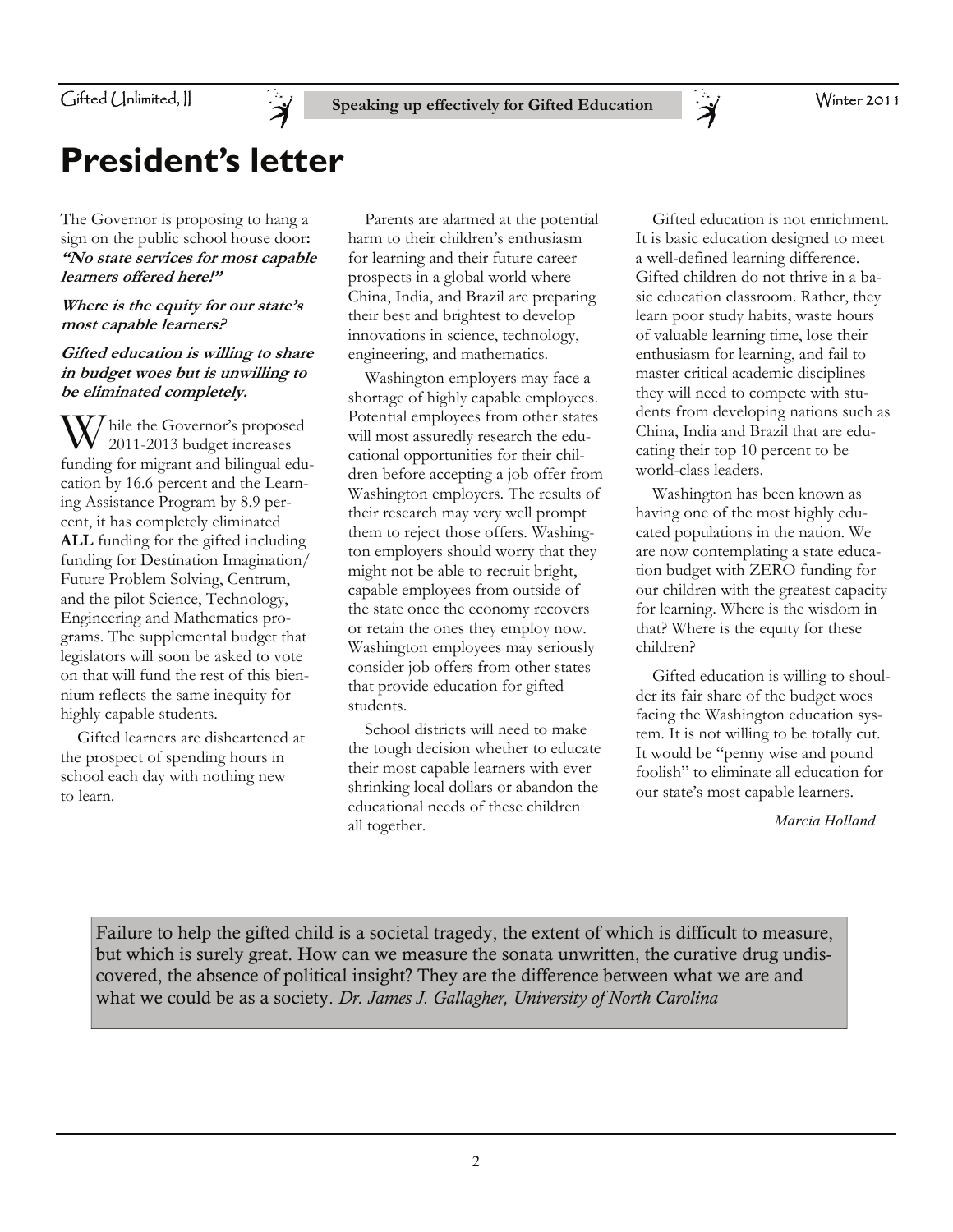Gifted (Jnlimited, ||



## **President's letter**

The Governor is proposing to hang a sign on the public school house door**: "No state services for most capable learners offered here!"** 

#### **Where is the equity for our state's most capable learners?**

#### **Gifted education is willing to share in budget woes but is unwilling to be eliminated completely.**

 $\mathcal{U}$  hile the Governor's proposed 2011-2013 budget increases funding for migrant and bilingual education by 16.6 percent and the Learning Assistance Program by 8.9 percent, it has completely eliminated **ALL** funding for the gifted including funding for Destination Imagination/ Future Problem Solving, Centrum, and the pilot Science, Technology, Engineering and Mathematics programs. The supplemental budget that legislators will soon be asked to vote on that will fund the rest of this biennium reflects the same inequity for highly capable students.

 Gifted learners are disheartened at the prospect of spending hours in school each day with nothing new to learn.

 Parents are alarmed at the potential harm to their children's enthusiasm for learning and their future career prospects in a global world where China, India, and Brazil are preparing their best and brightest to develop innovations in science, technology, engineering, and mathematics.

**Speaking up effectively for Gifted Education** 

 Washington employers may face a shortage of highly capable employees. Potential employees from other states will most assuredly research the educational opportunities for their children before accepting a job offer from Washington employers. The results of their research may very well prompt them to reject those offers. Washington employers should worry that they might not be able to recruit bright, capable employees from outside of the state once the economy recovers or retain the ones they employ now. Washington employees may seriously consider job offers from other states that provide education for gifted students.

 School districts will need to make the tough decision whether to educate their most capable learners with ever shrinking local dollars or abandon the educational needs of these children all together.

 Gifted education is not enrichment. It is basic education designed to meet a well-defined learning difference. Gifted children do not thrive in a basic education classroom. Rather, they learn poor study habits, waste hours of valuable learning time, lose their enthusiasm for learning, and fail to master critical academic disciplines they will need to compete with students from developing nations such as China, India and Brazil that are educating their top 10 percent to be world-class leaders.

 $\ddot{\bm{\lambda}}$ 

 Washington has been known as having one of the most highly educated populations in the nation. We are now contemplating a state education budget with ZERO funding for our children with the greatest capacity for learning. Where is the wisdom in that? Where is the equity for these children?

 Gifted education is willing to shoulder its fair share of the budget woes facing the Washington education system. It is not willing to be totally cut. It would be "penny wise and pound foolish" to eliminate all education for our state's most capable learners.

*Marcia Holland* 

Failure to help the gifted child is a societal tragedy, the extent of which is difficult to measure, but which is surely great. How can we measure the sonata unwritten, the curative drug undiscovered, the absence of political insight? They are the difference between what we are and what we could be as a society. *Dr. James J. Gallagher, University of North Carolina*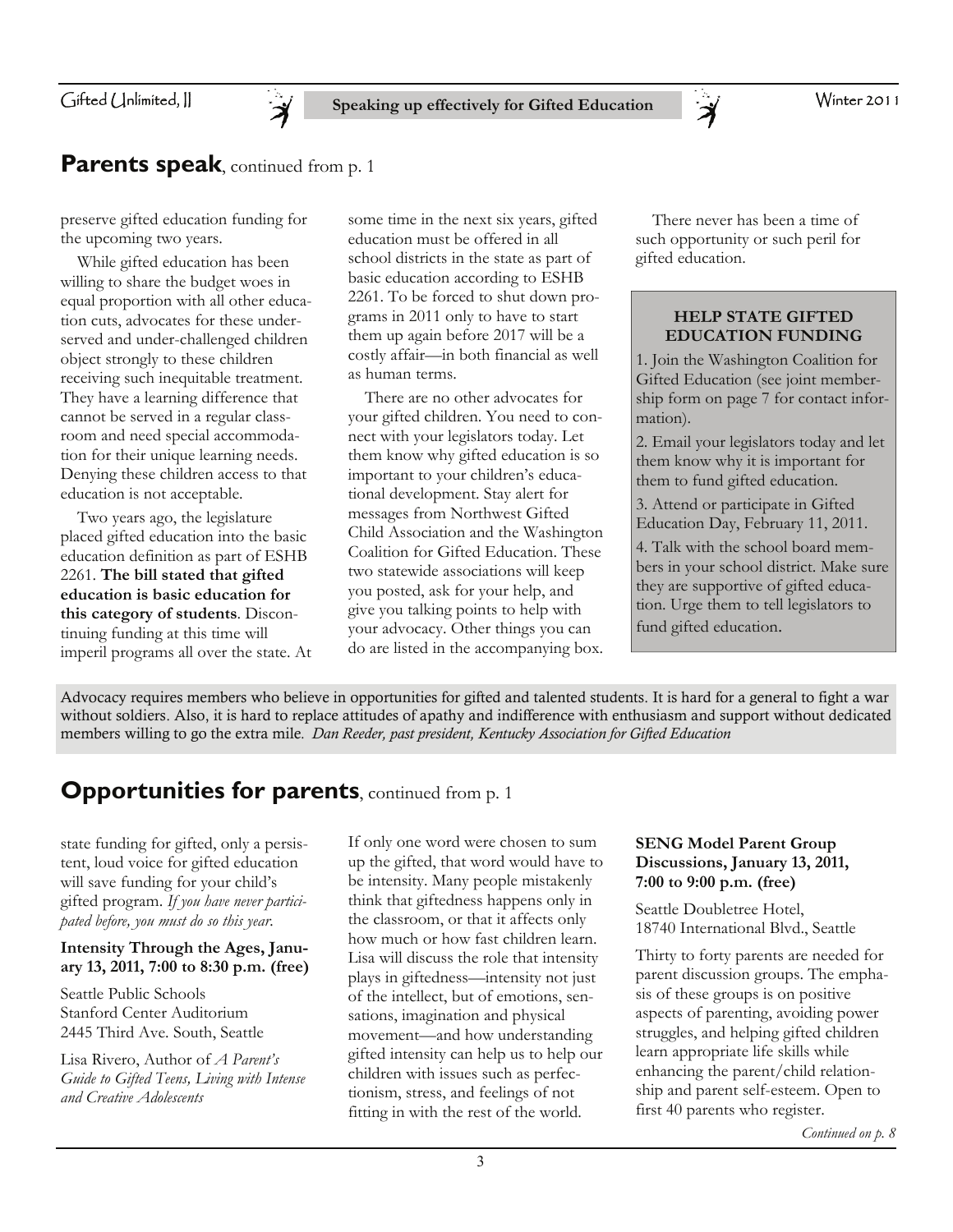Winter 2011

#### Gifted Unlimited, II



### **Parents speak**, continued from p. 1

preserve gifted education funding for the upcoming two years.

 While gifted education has been willing to share the budget woes in equal proportion with all other education cuts, advocates for these underserved and under-challenged children object strongly to these children receiving such inequitable treatment. They have a learning difference that cannot be served in a regular classroom and need special accommodation for their unique learning needs. Denying these children access to that education is not acceptable.

 Two years ago, the legislature placed gifted education into the basic education definition as part of ESHB 2261. **The bill stated that gifted education is basic education for this category of students**. Discontinuing funding at this time will imperil programs all over the state. At

some time in the next six years, gifted education must be offered in all school districts in the state as part of basic education according to ESHB 2261. To be forced to shut down programs in 2011 only to have to start them up again before 2017 will be a costly affair—in both financial as well as human terms.

 There are no other advocates for your gifted children. You need to connect with your legislators today. Let them know why gifted education is so important to your children's educational development. Stay alert for messages from Northwest Gifted Child Association and the Washington Coalition for Gifted Education. These two statewide associations will keep you posted, ask for your help, and give you talking points to help with your advocacy. Other things you can do are listed in the accompanying box.

 There never has been a time of such opportunity or such peril for gifted education.

 $\ddot{\bm{\varkappa}}$ 

#### **HELP STATE GIFTED EDUCATION FUNDING**

1. Join the Washington Coalition for Gifted Education (see joint membership form on page 7 for contact information).

2. Email your legislators today and let them know why it is important for them to fund gifted education.

3. Attend or participate in Gifted Education Day, February 11, 2011.

4. Talk with the school board members in your school district. Make sure they are supportive of gifted education. Urge them to tell legislators to fund gifted education.

Advocacy requires members who believe in opportunities for gifted and talented students. It is hard for a general to fight a war without soldiers. Also, it is hard to replace attitudes of apathy and indifference with enthusiasm and support without dedicated members willing to go the extra mile. *Dan Reeder, past president, Kentucky Association for Gifted Education*

### **Opportunities for parents**, continued from p. 1

state funding for gifted, only a persistent, loud voice for gifted education will save funding for your child's gifted program. *If you have never participated before, you must do so this year.* 

#### **Intensity Through the Ages, January 13, 2011, 7:00 to 8:30 p.m. (free)**

Seattle Public Schools Stanford Center Auditorium 2445 Third Ave. South, Seattle

Lisa Rivero, Author of *A Parent's Guide to Gifted Teens, Living with Intense and Creative Adolescents*

If only one word were chosen to sum up the gifted, that word would have to be intensity. Many people mistakenly think that giftedness happens only in the classroom, or that it affects only how much or how fast children learn. Lisa will discuss the role that intensity plays in giftedness—intensity not just of the intellect, but of emotions, sensations, imagination and physical movement—and how understanding gifted intensity can help us to help our children with issues such as perfectionism, stress, and feelings of not fitting in with the rest of the world.

#### **SENG Model Parent Group Discussions, January 13, 2011, 7:00 to 9:00 p.m. (free)**

Seattle Doubletree Hotel, 18740 International Blvd., Seattle

Thirty to forty parents are needed for parent discussion groups. The emphasis of these groups is on positive aspects of parenting, avoiding power struggles, and helping gifted children learn appropriate life skills while enhancing the parent/child relationship and parent self-esteem. Open to first 40 parents who register.

*Continued on p. 8*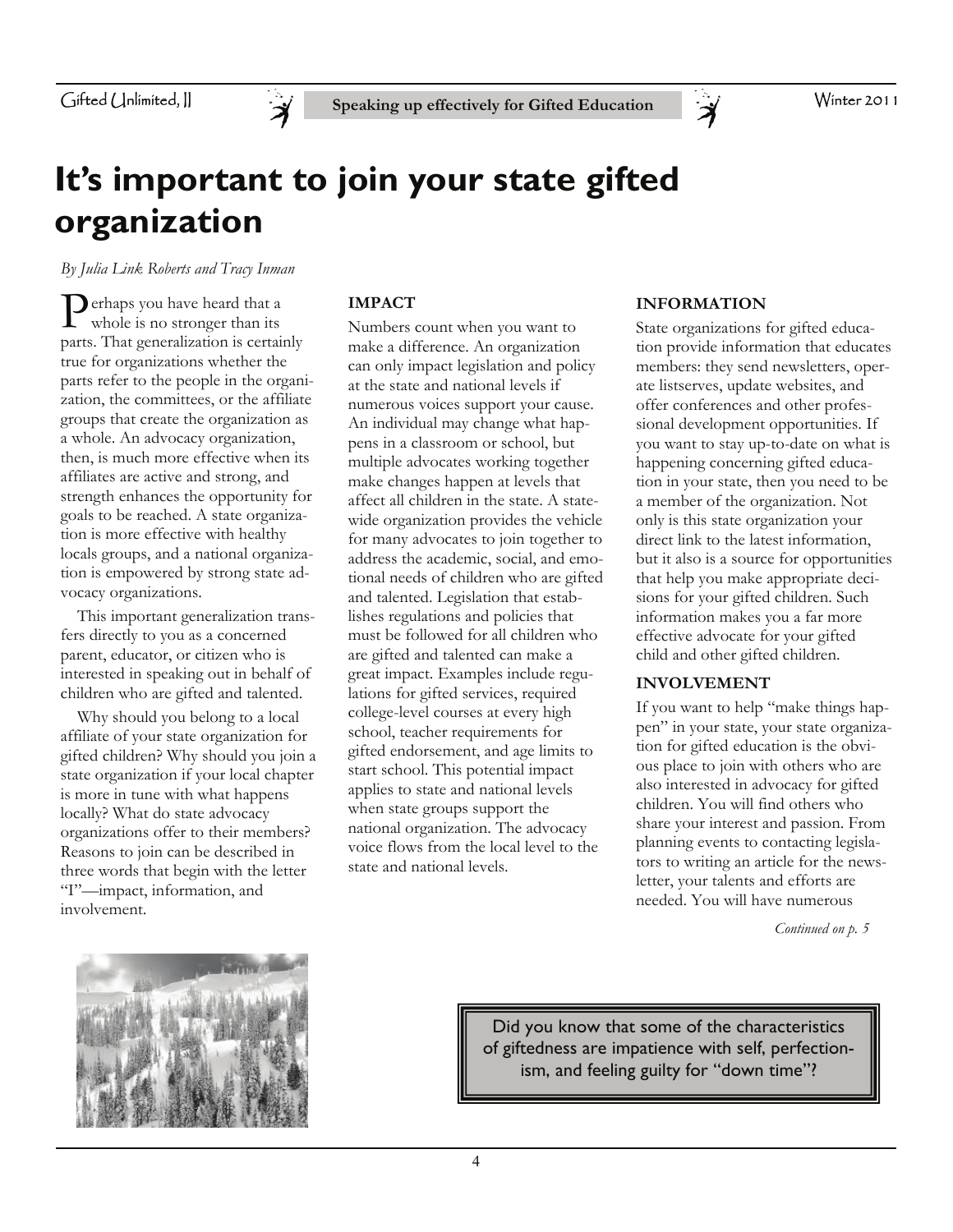

## **It's important to join your state gifted organization**

*By Julia Link Roberts and Tracy Inman* 

**P** erhaps you have heard that a whole is no stronger than its parts. That generalization is certainly true for organizations whether the parts refer to the people in the organization, the committees, or the affiliate groups that create the organization as a whole. An advocacy organization, then, is much more effective when its affiliates are active and strong, and strength enhances the opportunity for goals to be reached. A state organization is more effective with healthy locals groups, and a national organization is empowered by strong state advocacy organizations.

 This important generalization transfers directly to you as a concerned parent, educator, or citizen who is interested in speaking out in behalf of children who are gifted and talented.

 Why should you belong to a local affiliate of your state organization for gifted children? Why should you join a state organization if your local chapter is more in tune with what happens locally? What do state advocacy organizations offer to their members? Reasons to join can be described in three words that begin with the letter "I"—impact, information, and involvement.

#### **IMPACT**

Numbers count when you want to make a difference. An organization can only impact legislation and policy at the state and national levels if numerous voices support your cause. An individual may change what happens in a classroom or school, but multiple advocates working together make changes happen at levels that affect all children in the state. A statewide organization provides the vehicle for many advocates to join together to address the academic, social, and emotional needs of children who are gifted and talented. Legislation that establishes regulations and policies that must be followed for all children who are gifted and talented can make a great impact. Examples include regulations for gifted services, required college-level courses at every high school, teacher requirements for gifted endorsement, and age limits to start school. This potential impact applies to state and national levels when state groups support the national organization. The advocacy voice flows from the local level to the state and national levels.

#### **INFORMATION**

 $\breve{\mathcal{A}}$ 

State organizations for gifted education provide information that educates members: they send newsletters, operate listserves, update websites, and offer conferences and other professional development opportunities. If you want to stay up-to-date on what is happening concerning gifted education in your state, then you need to be a member of the organization. Not only is this state organization your direct link to the latest information, but it also is a source for opportunities that help you make appropriate decisions for your gifted children. Such information makes you a far more effective advocate for your gifted child and other gifted children.

#### **INVOLVEMENT**

If you want to help "make things happen" in your state, your state organization for gifted education is the obvious place to join with others who are also interested in advocacy for gifted children. You will find others who share your interest and passion. From planning events to contacting legislators to writing an article for the newsletter, your talents and efforts are needed. You will have numerous

*Continued on p. 5* 



Did you know that some of the characteristics of giftedness are impatience with self, perfectionism, and feeling guilty for "down time"?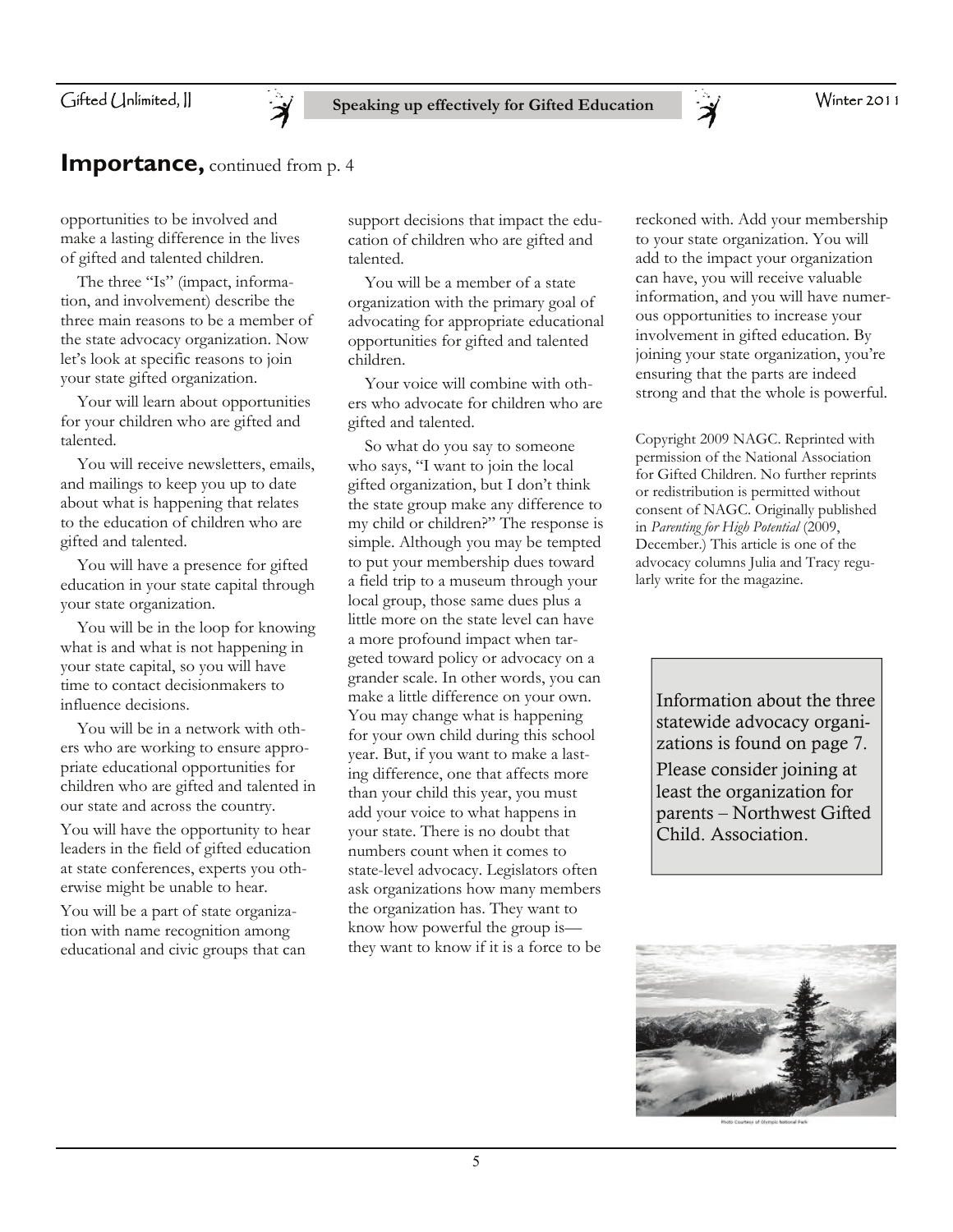

#### **Importance, continued from p. 4**

opportunities to be involved and make a lasting difference in the lives of gifted and talented children.

The three "Is" (impact, information, and involvement) describe the three main reasons to be a member of the state advocacy organization. Now let's look at specific reasons to join your state gifted organization.

 Your will learn about opportunities for your children who are gifted and talented.

 You will receive newsletters, emails, and mailings to keep you up to date about what is happening that relates to the education of children who are gifted and talented.

 You will have a presence for gifted education in your state capital through your state organization.

 You will be in the loop for knowing what is and what is not happening in your state capital, so you will have time to contact decisionmakers to influence decisions.

 You will be in a network with others who are working to ensure appropriate educational opportunities for children who are gifted and talented in our state and across the country.

You will have the opportunity to hear leaders in the field of gifted education at state conferences, experts you otherwise might be unable to hear.

You will be a part of state organization with name recognition among educational and civic groups that can support decisions that impact the education of children who are gifted and talented.

 You will be a member of a state organization with the primary goal of advocating for appropriate educational opportunities for gifted and talented children.

 Your voice will combine with others who advocate for children who are gifted and talented.

 So what do you say to someone who says, "I want to join the local gifted organization, but I don't think the state group make any difference to my child or children?" The response is simple. Although you may be tempted to put your membership dues toward a field trip to a museum through your local group, those same dues plus a little more on the state level can have a more profound impact when targeted toward policy or advocacy on a grander scale. In other words, you can make a little difference on your own. You may change what is happening for your own child during this school year. But, if you want to make a lasting difference, one that affects more than your child this year, you must add your voice to what happens in your state. There is no doubt that numbers count when it comes to state-level advocacy. Legislators often ask organizations how many members the organization has. They want to know how powerful the group is they want to know if it is a force to be

reckoned with. Add your membership to your state organization. You will add to the impact your organization can have, you will receive valuable information, and you will have numerous opportunities to increase your involvement in gifted education. By joining your state organization, you're ensuring that the parts are indeed strong and that the whole is powerful.

Copyright 2009 NAGC. Reprinted with permission of the National Association for Gifted Children. No further reprints or redistribution is permitted without consent of NAGC. Originally published in *Parenting for High Potential* (2009, December.) This article is one of the advocacy columns Julia and Tracy regularly write for the magazine.

Information about the three statewide advocacy organizations is found on page 7. Please consider joining at least the organization for parents – Northwest Gifted Child. Association.

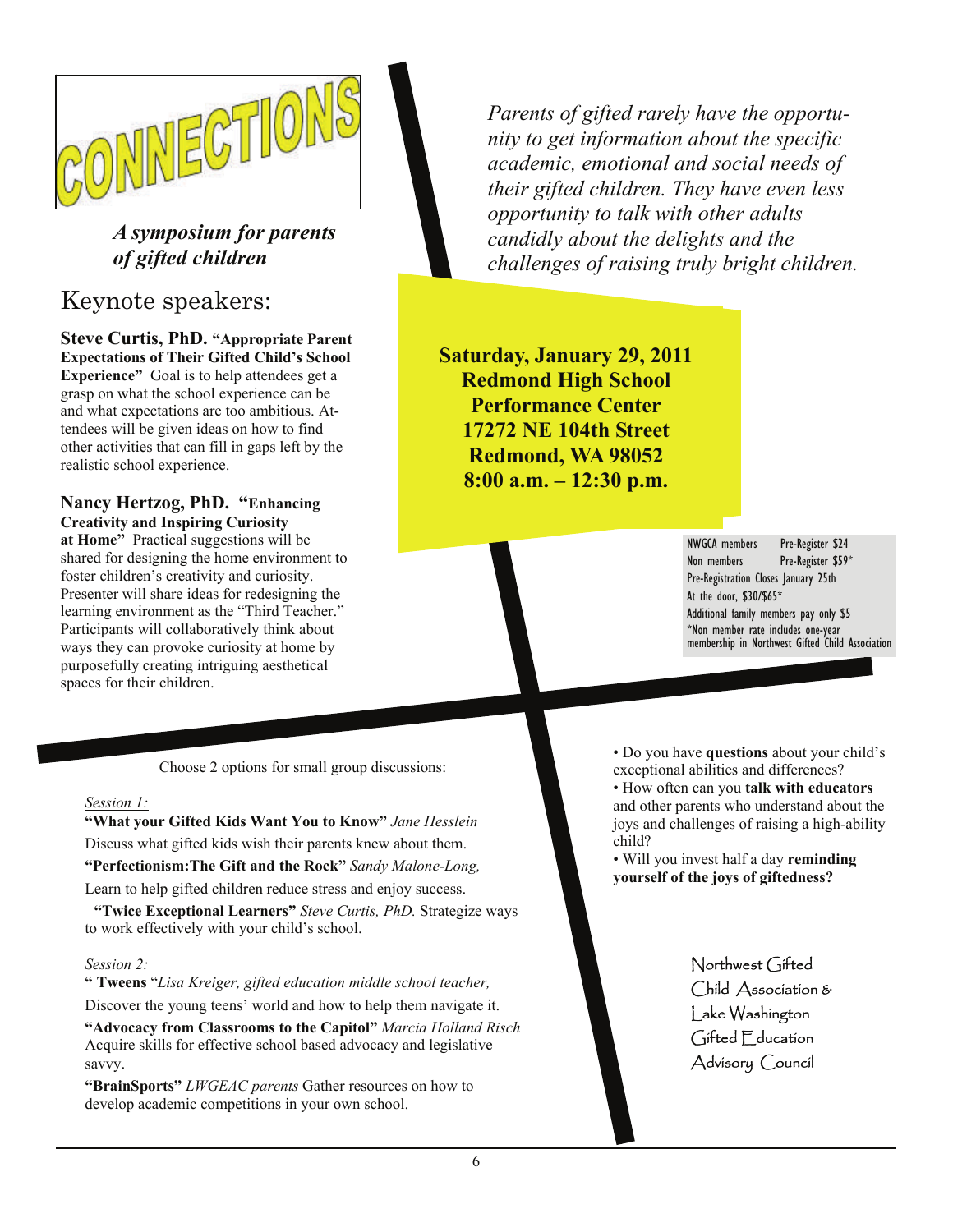

### *A symposium for parents of gifted children*

### Keynote speakers:

**Steve Curtis, PhD. "Appropriate Parent Expectations of Their Gifted Child's School Experience"** Goal is to help attendees get a grasp on what the school experience can be and what expectations are too ambitious. Attendees will be given ideas on how to find other activities that can fill in gaps left by the realistic school experience.

**Nancy Hertzog, PhD. "Enhancing Creativity and Inspiring Curiosity at Home"** Practical suggestions will be shared for designing the home environment to foster children's creativity and curiosity. Presenter will share ideas for redesigning the learning environment as the "Third Teacher." Participants will collaboratively think about ways they can provoke curiosity at home by purposefully creating intriguing aesthetical spaces for their children.

*Parents of gifted rarely have the opportunity to get information about the specific academic, emotional and social needs of their gifted children. They have even less opportunity to talk with other adults candidly about the delights and the challenges of raising truly bright children.*

**Saturday, January 29, 2011 Redmond High School Performance Center 17272 NE 104th Street Redmond, WA 98052 8:00 a.m. – 12:30 p.m.** 

> NWGCA members Pre-Register \$24 Non members Pre-Register \$59\* Pre-Registration Closes January 25th At the door, \$30/\$65\* Additional family members pay only \$5 \*Non member rate includes one-year membership in Northwest Gifted Child Association

Choose 2 options for small group discussions:

#### *Session 1:*

**"What your Gifted Kids Want You to Know"** *Jane Hesslein* Discuss what gifted kids wish their parents knew about them. **"Perfectionism:The Gift and the Rock"** *Sandy Malone-Long,*  Learn to help gifted children reduce stress and enjoy success.

**"Twice Exceptional Learners"** *Steve Curtis, PhD.* Strategize ways to work effectively with your child's school.

#### *Session 2:*

**" Tweens** "*Lisa Kreiger, gifted education middle school teacher,*  Discover the young teens' world and how to help them navigate it.

**"Advocacy from Classrooms to the Capitol"** *Marcia Holland Risch*  Acquire skills for effective school based advocacy and legislative savvy.

**"BrainSports"** *LWGEAC parents* Gather resources on how to develop academic competitions in your own school.

• Do you have **questions** about your child's exceptional abilities and differences?

• How often can you **talk with educators**  and other parents who understand about the joys and challenges of raising a high-ability child?

• Will you invest half a day **reminding yourself of the joys of giftedness?** 

> Northwest Gifted Child Association & Lake Washington Gifted Education Advisory Council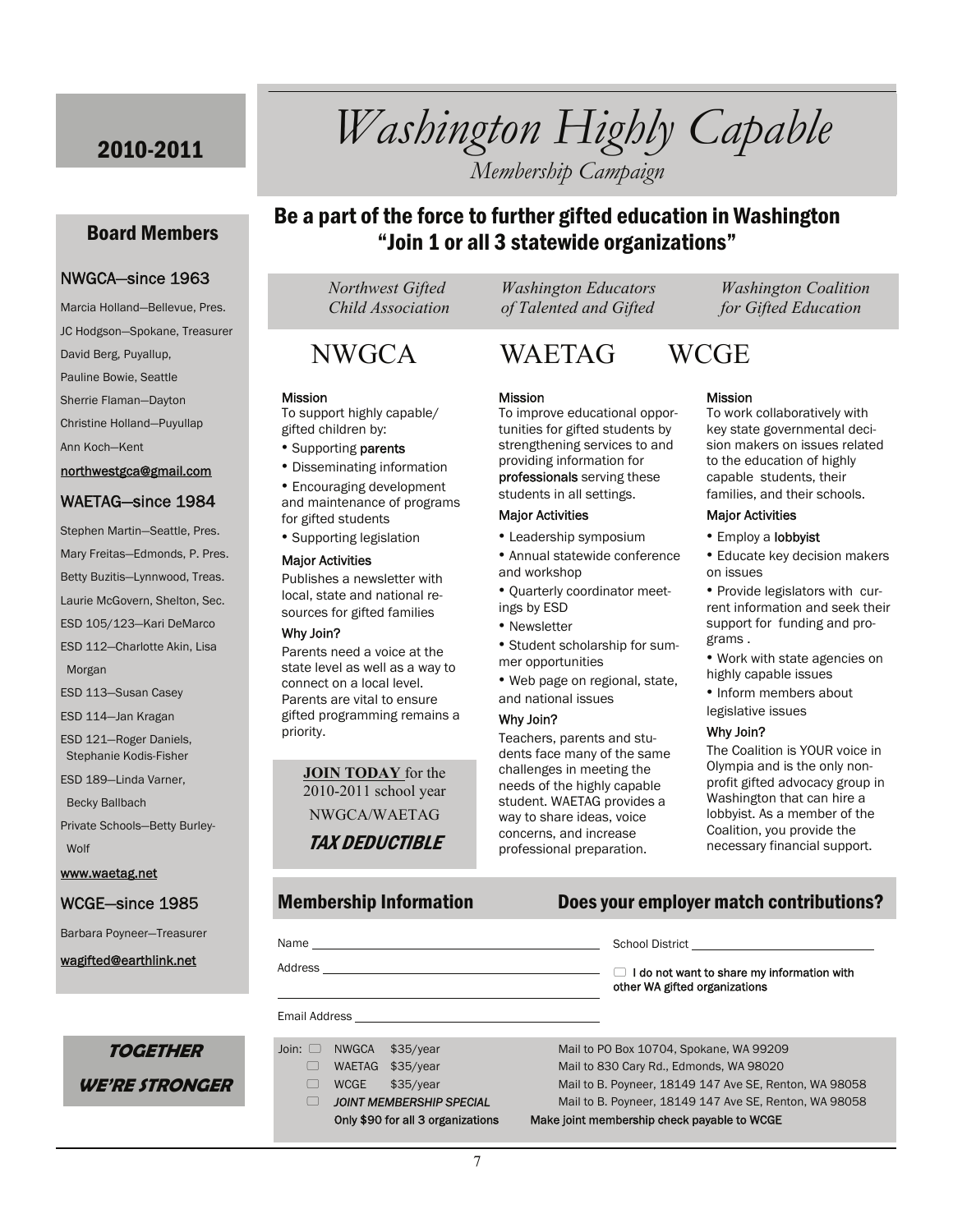### 2010-2011 *Washington Highly Capable Membership Campaign*

#### Board Members

#### NWGCA—since 1963

Marcia Holland—Bellevue, Pres. JC Hodgson—Spokane, Treasurer David Berg, Puyallup, Pauline Bowie, Seattle Sherrie Flaman—Dayton Christine Holland—Puyullap Ann Koch—Kent northwestgca@gmail.com

#### WAETAG—since 1984

Stephen Martin—Seattle, Pres. Mary Freitas—Edmonds, P. Pres. Betty Buzitis—Lynnwood, Treas. Laurie McGovern, Shelton, Sec. ESD 105/123—Kari DeMarco ESD 112—Charlotte Akin, Lisa Morgan ESD 113—Susan Casey ESD 114—Jan Kragan ESD 121—Roger Daniels, Stephanie Kodis-Fisher ESD 189—Linda Varner, Becky Ballbach Private Schools—Betty Burley- Wolf

www.waetag.net

#### WCGE—since 1985

Barbara Poyneer—Treasurer

wagifted@earthlink.net

**TOGETHER** 

**WE'RE STRONGER** 

### Be a part of the force to further gifted education in Washington "Join 1 or all 3 statewide organizations"

 *Northwest Gifted Washington Educators Washington Coalition* 

#### **Mission**

To support highly capable/ gifted children by:

- Supporting parents
- Disseminating information

• Encouraging development and maintenance of programs for gifted students

• Supporting legislation

#### Major Activities

Publishes a newsletter with local, state and national resources for gifted families

#### Why Join?

Parents need a voice at the state level as well as a way to connect on a local level. Parents are vital to ensure gifted programming remains a priority.

> **JOIN TODAY** for the 2010-2011 school year NWGCA/WAETAG TAX DEDUCTIBLE

 *Child Association of Talented and Gifted for Gifted Education* 

### NWGCA WAETAG WCGE

#### **Mission**

To improve educational opportunities for gifted students by strengthening services to and providing information for professionals serving these

students in all settings.

#### Major Activities

- Leadership symposium • Annual statewide conference
- and workshop • Quarterly coordinator meet-
- ings by ESD
- Newsletter
- Student scholarship for summer opportunities
- Web page on regional, state, and national issues

#### Why Join?

Teachers, parents and students face many of the same challenges in meeting the needs of the highly capable student. WAETAG provides a way to share ideas, voice concerns, and increase professional preparation.

#### Mission

To work collaboratively with key state governmental decision makers on issues related to the education of highly capable students, their families, and their schools.

#### Major Activities

#### • Employ a lobbyist

• Educate key decision makers on issues

• Provide legislators with current information and seek their support for funding and programs .

- Work with state agencies on highly capable issues
- Inform members about
- legislative issues

#### Why Join?

The Coalition is YOUR voice in Olympia and is the only nonprofit gifted advocacy group in Washington that can hire a lobbyist. As a member of the Coalition, you provide the necessary financial support.

#### Membership Information Does your employer match contributions?

 $\Box$  I do not want to share my information with

| Name    |  |
|---------|--|
|         |  |
| Address |  |

 $\overline{a}$ 

#### Email Address

- 
- 

Join: NWGCA \$35/year Mail to PO Box 10704, Spokane, WA 99209 WAETAG \$35/year Mail to 830 Cary Rd., Edmonds, WA 98020 WCGE \$35/year Mail to B. Poyneer, 18149 147 Ave SE, Renton, WA 98058 *JOINT MEMBERSHIP SPECIAL* Mail to B. Poyneer, 18149 147 Ave SE, Renton, WA 98058

other WA gifted organizations

#### Only \$90 for all 3 organizations Make joint membership check payable to WCGE

School District